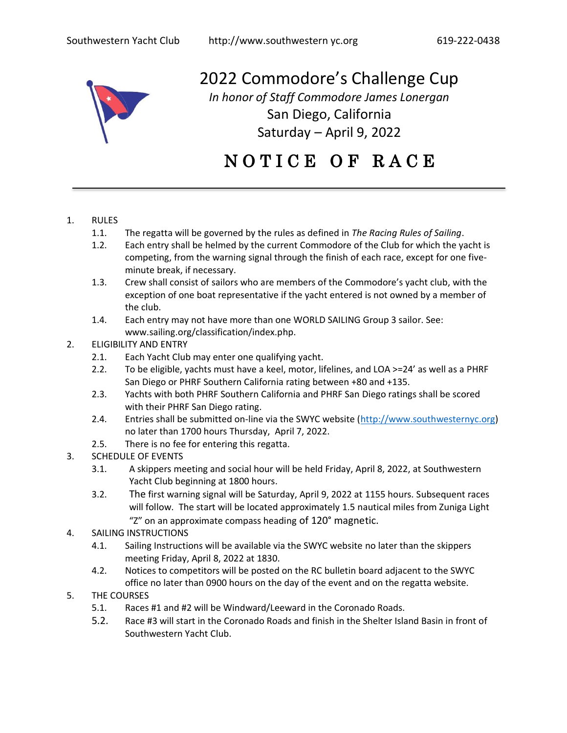

2022 Commodore's Challenge Cup *In honor of Staff Commodore James Lonergan*

> San Diego, California Saturday – April 9, 2022

# N O T I C E O F R A C E

## 1. RULES

- 1.1. The regatta will be governed by the rules as defined in *The Racing Rules of Sailing*.
- 1.2. Each entry shall be helmed by the current Commodore of the Club for which the yacht is competing, from the warning signal through the finish of each race, except for one fiveminute break, if necessary.
- 1.3. Crew shall consist of sailors who are members of the Commodore's yacht club, with the exception of one boat representative if the yacht entered is not owned by a member of the club.
- 1.4. Each entry may not have more than one WORLD SAILING Group 3 sailor. See: www.sailing.org/classification/index.php.

## 2. ELIGIBILITY AND ENTRY

- 2.1. Each Yacht Club may enter one qualifying yacht.
- 2.2. To be eligible, yachts must have a keel, motor, lifelines, and LOA >=24' as well as a PHRF San Diego or PHRF Southern California rating between +80 and +135.
- 2.3. Yachts with both PHRF Southern California and PHRF San Diego ratings shall be scored with their PHRF San Diego rating.
- 2.4. Entries shall be submitted on-line via the SWYC website [\(http://www.southwesternyc.org\)](http://www.southwesternyc.org/) no later than 1700 hours Thursday, April 7, 2022.
- 2.5. There is no fee for entering this regatta.
- 3. SCHEDULE OF EVENTS
	- 3.1. A skippers meeting and social hour will be held Friday, April 8, 2022, at Southwestern Yacht Club beginning at 1800 hours.
	- 3.2. The first warning signal will be Saturday, April 9, 2022 at 1155 hours. Subsequent races will follow. The start will be located approximately 1.5 nautical miles from Zuniga Light "Z" on an approximate compass heading of 120° magnetic.
- 4. SAILING INSTRUCTIONS
	- 4.1. Sailing Instructions will be available via the SWYC website no later than the skippers meeting Friday, April 8, 2022 at 1830.
	- 4.2. Notices to competitors will be posted on the RC bulletin board adjacent to the SWYC office no later than 0900 hours on the day of the event and on the regatta website.
- 5. THE COURSES
	- 5.1. Races #1 and #2 will be Windward/Leeward in the Coronado Roads.
	- 5.2. Race #3 will start in the Coronado Roads and finish in the Shelter Island Basin in front of Southwestern Yacht Club.